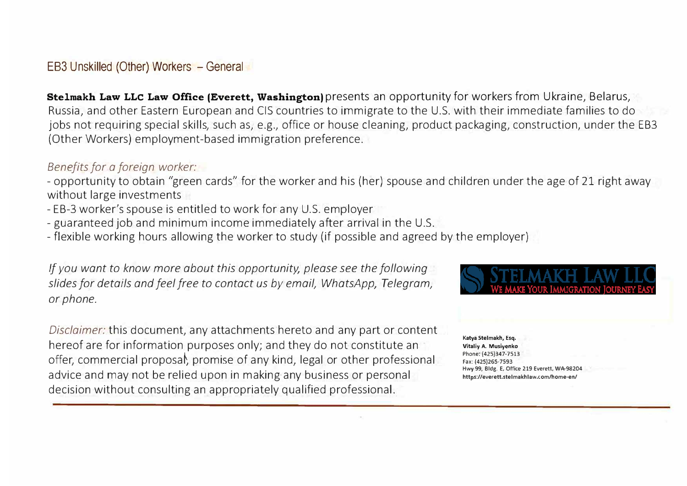EB3 Unskilled (Other) Workers - General

**Stelmakh Law LLC Law Office (Everett, Washington)** presents an opportunity for workers from Ukraine, Belarus, Russia, and other Eastern European and CIS countries to immigrate to the U.S. with their immediate families to do jobs not requiring special skills, such as, e.g., office or house deaning, product packaging, construction, under the EB3 (Other Workers) employment-based immigration preference.

#### *Benefits for a foreign worker:*

- opportunity to obtain "green cards" for the worker and his (her) spouse and children under the age of 21 right away without large investments

- EB-3 worker's spouse is entitled to work for any U.S. employer
- guaranteed job and minimum income immediately after arrival in the U.S.
- flexible working hours allowing the worker to study (if possible and agreed by the employer)

*If you want to know more about this opportunit½ please see the following slides for details and feel free to contact us by email, WhatsApn Telegram, or phone.* 

*Disclaimer:* this document, any attachments hereto and any part or content hereof are for information purposes only; and they do not constitute an offer, commercial proposal, promise of any kind, legal or other professional advice and may not be relied upon in making any business or personal decision without consulting an appropriately qualified professional.

**Katya Stelmakh, Esq. Vitaliy A. Musiyenko Phone: (425)347-7513 Fax: (425)265-7593**  Hwy 99, Bldg. E, Office 219 Everett, WA 98204 **https://everett.stelmakhlaw.com/home-en/**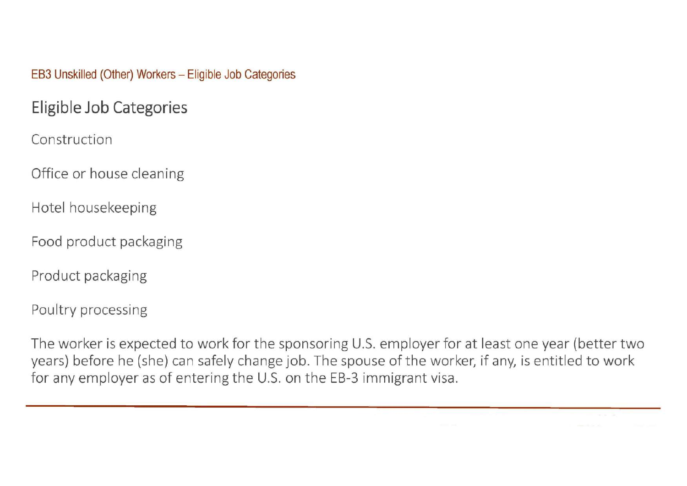#### EB3 Unskilled (Other) Workers - Eligible Job Categories

# Eligible Job Categories

Construction

Office or house cleaning

Hotel housekeeping

Food product packaging

Product packaging

Poultry processing

The worker is expected to work for the sponsoring U.S. employer for at least one year (better two years) before he (she) can safely change job. The spouse of the worker, if any, is entitled to work for any employer as of entering the U.S. on the EB-3 immigrant visa.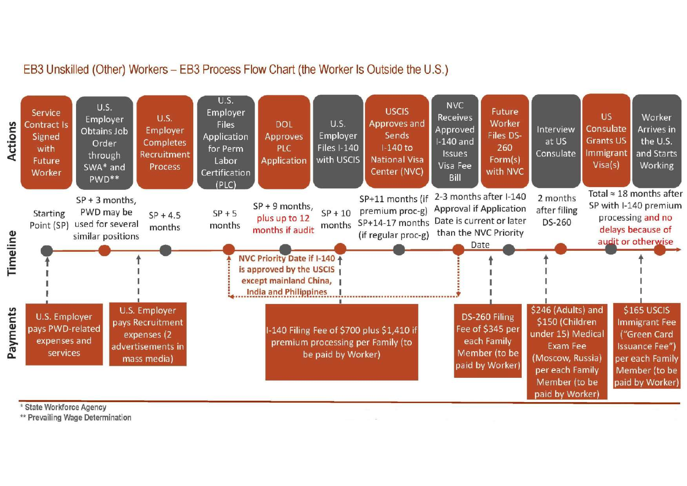## EB3 Unskilled (Other) Workers - EB3 Process Flow Chart (the Worker Is Outside the U.S.)



\* State Workforce Agency

\*\* Prevailing Wage Determination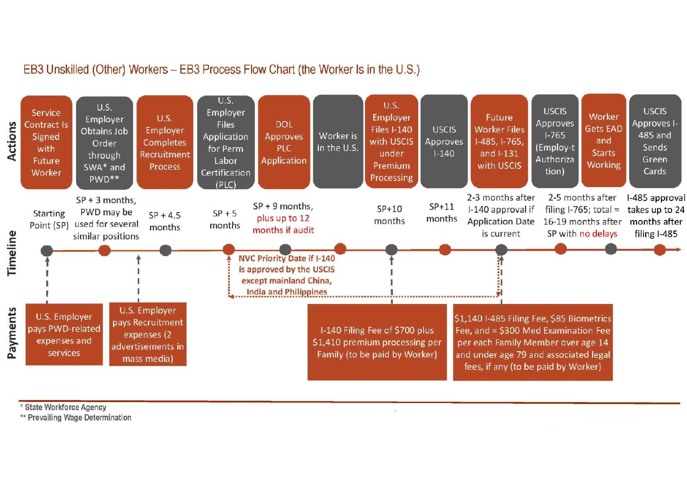## EB3 Unskilled (Other) Workers - EB3 Process Flow Chart (the Worker Is in the U.S.)



\* State Workforce Agency

\*\* Prevailing Wage Determination